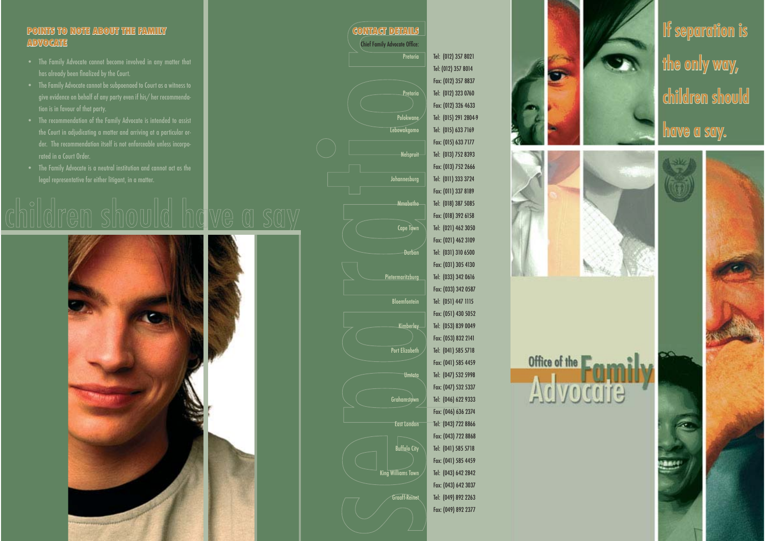## **POINTS TO NOTE ABOUT THE FAMILY POINTS TO NOTE ABOUT THE FAMILY ADVOCATE**

- The Family Advocate cannot become involved in any matter that has already been finalized by the Court.
- give evidence on behalf of any party even if his/ her recommendation is in favour of that party.
- The recommendation of the Family Advocate is intended to assist rated in a Court Order.
-